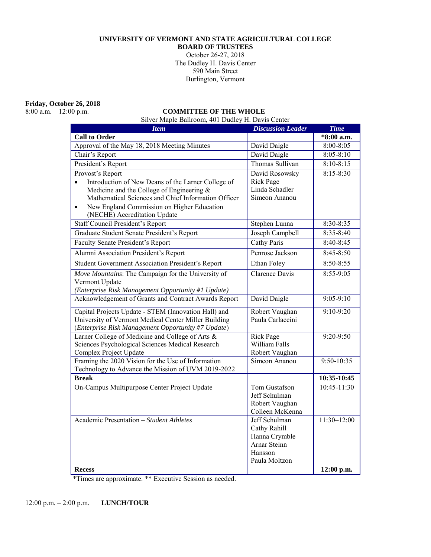### **UNIVERSITY OF VERMONT AND STATE AGRICULTURAL COLLEGE**

**BOARD OF TRUSTEES** 

October 26-27, 2018 The Dudley H. Davis Center 590 Main Street Burlington, Vermont

**Friday, October 26, 2018**<br>8:00 a.m. – 12:00 p.m.

### COMMITTEE OF THE WHOLE

Silver Maple Ballroom, 401 Dudley H. Davis Center

| <b>Item</b>                                                     | <b>Discussion Leader</b>          | <b>Time</b>     |
|-----------------------------------------------------------------|-----------------------------------|-----------------|
| <b>Call to Order</b>                                            |                                   | *8:00 a.m.      |
| Approval of the May 18, 2018 Meeting Minutes                    | David Daigle                      | $8:00 - 8:05$   |
| Chair's Report                                                  | David Daigle                      | $8:05 - 8:10$   |
| President's Report                                              | Thomas Sullivan                   | $8:10-8:15$     |
| Provost's Report                                                | David Rosowsky                    | $8:15 - 8:30$   |
| Introduction of New Deans of the Larner College of<br>$\bullet$ | <b>Rick Page</b>                  |                 |
| Medicine and the College of Engineering $\&$                    | Linda Schadler                    |                 |
| Mathematical Sciences and Chief Information Officer             | Simeon Ananou                     |                 |
| New England Commission on Higher Education<br>$\bullet$         |                                   |                 |
| (NECHE) Accreditation Update                                    |                                   |                 |
| Staff Council President's Report                                | Stephen Lunna                     | 8:30-8:35       |
| Graduate Student Senate President's Report                      | Joseph Campbell                   | $8:35-8:40$     |
| <b>Faculty Senate President's Report</b>                        | Cathy Paris                       | $8:40-8:45$     |
| Alumni Association President's Report                           | Penrose Jackson                   | $8:45-8:50$     |
| Student Government Association President's Report               | Ethan Foley                       | 8:50-8:55       |
| Move Mountains: The Campaign for the University of              | <b>Clarence Davis</b>             | 8:55-9:05       |
| Vermont Update                                                  |                                   |                 |
| (Enterprise Risk Management Opportunity #1 Update)              |                                   |                 |
| Acknowledgement of Grants and Contract Awards Report            | David Daigle                      | $9:05-9:10$     |
| Capital Projects Update - STEM (Innovation Hall) and            | Robert Vaughan                    | $9:10-9:20$     |
| University of Vermont Medical Center Miller Building            | Paula Carlaccini                  |                 |
| (Enterprise Risk Management Opportunity #7 Update)              |                                   |                 |
| Larner College of Medicine and College of Arts &                | <b>Rick Page</b>                  | 9:20-9:50       |
| Sciences Psychological Sciences Medical Research                | William Falls                     |                 |
| Complex Project Update                                          | Robert Vaughan                    |                 |
| Framing the 2020 Vision for the Use of Information              | Simeon Ananou                     | 9:50-10:35      |
| Technology to Advance the Mission of UVM 2019-2022              |                                   |                 |
| <b>Break</b>                                                    |                                   | 10:35-10:45     |
| On-Campus Multipurpose Center Project Update                    | Tom Gustafson                     | 10:45-11:30     |
|                                                                 | Jeff Schulman                     |                 |
|                                                                 | Robert Vaughan<br>Colleen McKenna |                 |
| Academic Presentation - Student Athletes                        | Jeff Schulman                     | $11:30 - 12:00$ |
|                                                                 | Cathy Rahill                      |                 |
|                                                                 | Hanna Crymble                     |                 |
|                                                                 | Arnar Steinn                      |                 |
|                                                                 | Hansson                           |                 |
|                                                                 | Paula Moltzon                     |                 |
| <b>Recess</b>                                                   |                                   | 12:00 p.m.      |

\*Times are approximate. \*\* Executive Session as needed.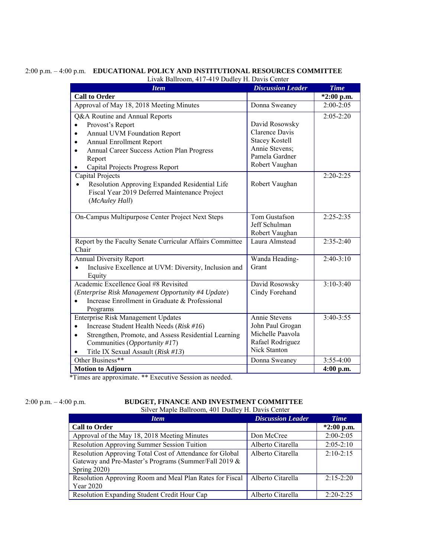| <b>Item</b>                                                                                 | <b>Discussion Leader</b> | <b>Time</b>   |
|---------------------------------------------------------------------------------------------|--------------------------|---------------|
| <b>Call to Order</b>                                                                        |                          | *2:00 p.m.    |
| Approval of May 18, 2018 Meeting Minutes                                                    | Donna Sweaney            | $2:00-2:05$   |
| Q&A Routine and Annual Reports                                                              |                          | $2:05 - 2:20$ |
| Provost's Report<br>$\bullet$                                                               | David Rosowsky           |               |
| Annual UVM Foundation Report<br>$\bullet$                                                   | Clarence Davis           |               |
| <b>Annual Enrollment Report</b><br>$\bullet$                                                | <b>Stacey Kostell</b>    |               |
| Annual Career Success Action Plan Progress<br>$\bullet$                                     | Annie Stevens;           |               |
| Report                                                                                      | Pamela Gardner           |               |
| Capital Projects Progress Report<br>$\bullet$                                               | Robert Vaughan           |               |
| Capital Projects                                                                            |                          | $2:20-2:25$   |
| Resolution Approving Expanded Residential Life                                              | Robert Vaughan           |               |
| Fiscal Year 2019 Deferred Maintenance Project                                               |                          |               |
| (McAuley Hall)                                                                              |                          |               |
| On-Campus Multipurpose Center Project Next Steps                                            | Tom Gustafson            | $2:25 - 2:35$ |
|                                                                                             | Jeff Schulman            |               |
|                                                                                             | Robert Vaughan           |               |
| Report by the Faculty Senate Curricular Affairs Committee                                   | Laura Almstead           | $2:35-2:40$   |
| Chair                                                                                       |                          |               |
| Annual Diversity Report                                                                     | Wanda Heading-           | $2:40-3:10$   |
| Inclusive Excellence at UVM: Diversity, Inclusion and<br>$\bullet$                          | Grant                    |               |
| Equity                                                                                      |                          |               |
| Academic Excellence Goal #8 Revisited                                                       | David Rosowsky           | $3:10-3:40$   |
| (Enterprise Risk Management Opportunity #4 Update)                                          | Cindy Forehand           |               |
| Increase Enrollment in Graduate & Professional<br>$\bullet$                                 |                          |               |
| Programs                                                                                    | Annie Stevens            | $3:40-3:55$   |
| Enterprise Risk Management Updates<br>Increase Student Health Needs (Risk #16)<br>$\bullet$ | John Paul Grogan         |               |
| Strengthen, Promote, and Assess Residential Learning<br>$\bullet$                           | Michelle Paavola         |               |
| Communities (Opportunity #17)                                                               | Rafael Rodriguez         |               |
| Title IX Sexual Assault (Risk #13)<br>$\bullet$                                             | Nick Stanton             |               |
| Other Business**                                                                            | Donna Sweaney            | $3:55-4:00$   |
| <b>Motion to Adjourn</b>                                                                    |                          | $4:00$ p.m.   |
|                                                                                             |                          |               |

## 2:00 p.m. – 4:00 p.m. **EDUCATIONAL POLICY AND INSTITUTIONAL RESOURCES COMMITTEE**

\*Times are approximate. \*\* Executive Session as needed.

## 2:00 p.m. – 4:00 p.m. **BUDGET, FINANCE AND INVESTMENT COMMITTEE**

Silver Maple Ballroom, 401 Dudley H. Davis Center

| <b>Item</b>                                                                                                                       | <b>Discussion Leader</b> | <b>Time</b>   |  |
|-----------------------------------------------------------------------------------------------------------------------------------|--------------------------|---------------|--|
| <b>Call to Order</b>                                                                                                              |                          | $*2:00$ p.m.  |  |
| Approval of the May 18, 2018 Meeting Minutes                                                                                      | Don McCree               | $2:00-2:05$   |  |
| Resolution Approving Summer Session Tuition                                                                                       | Alberto Citarella        | $2:05 - 2:10$ |  |
| Resolution Approving Total Cost of Attendance for Global<br>Gateway and Pre-Master's Programs (Summer/Fall 2019 &<br>Spring 2020) | Alberto Citarella        | $2:10-2:15$   |  |
| Resolution Approving Room and Meal Plan Rates for Fiscal<br>Year 2020                                                             | Alberto Citarella        | $2:15-2:20$   |  |
| Resolution Expanding Student Credit Hour Cap                                                                                      | Alberto Citarella        | $2:20-2:25$   |  |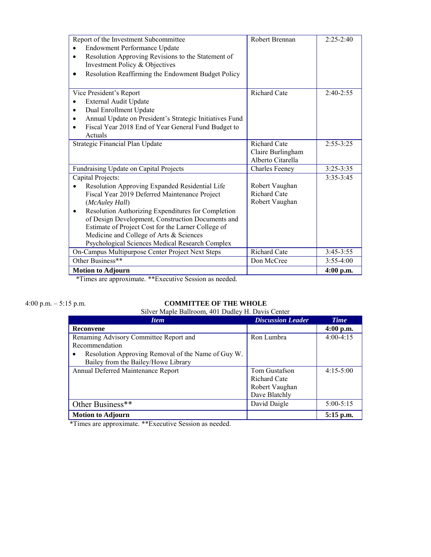| Report of the Investment Subcommittee                                                   | Robert Brennan        | $2:25-2:40$   |
|-----------------------------------------------------------------------------------------|-----------------------|---------------|
| <b>Endowment Performance Update</b>                                                     |                       |               |
| Resolution Approving Revisions to the Statement of<br>$\bullet$                         |                       |               |
| Investment Policy & Objectives                                                          |                       |               |
| Resolution Reaffirming the Endowment Budget Policy                                      |                       |               |
|                                                                                         |                       |               |
| Vice President's Report                                                                 | <b>Richard Cate</b>   | $2:40-2:55$   |
| External Audit Update                                                                   |                       |               |
| Dual Enrollment Update                                                                  |                       |               |
| Annual Update on President's Strategic Initiatives Fund                                 |                       |               |
| Fiscal Year 2018 End of Year General Fund Budget to                                     |                       |               |
| Actuals                                                                                 |                       |               |
| Strategic Financial Plan Update                                                         | <b>Richard Cate</b>   | $2:55 - 3:25$ |
|                                                                                         | Claire Burlingham     |               |
|                                                                                         | Alberto Citarella     |               |
| Fundraising Update on Capital Projects                                                  | <b>Charles Feeney</b> | $3:25 - 3:35$ |
| Capital Projects:                                                                       |                       | $3:35-3:45$   |
| Resolution Approving Expanded Residential Life                                          | Robert Vaughan        |               |
| Fiscal Year 2019 Deferred Maintenance Project                                           | <b>Richard Cate</b>   |               |
| (McAuley Hall)                                                                          | Robert Vaughan        |               |
| Resolution Authorizing Expenditures for Completion<br>٠                                 |                       |               |
| of Design Development, Construction Documents and                                       |                       |               |
| Estimate of Project Cost for the Larner College of                                      |                       |               |
| Medicine and College of Arts & Sciences                                                 |                       |               |
| Psychological Sciences Medical Research Complex                                         |                       |               |
| On-Campus Multipurpose Center Project Next Steps                                        | <b>Richard Cate</b>   | $3:45-3:55$   |
| Other Business**                                                                        | Don McCree            | $3:55-4:00$   |
| <b>Motion to Adjourn</b><br>$\mathbf{r}$ $\alpha$<br>$+ + \Gamma$<br>$1 \quad 1$<br>ψπ. |                       | $4:00$ p.m.   |

\*Times are approximate. \*\*Executive Session as needed.

# 4:00 p.m. – 5:15 p.m. **COMMITTEE OF THE WHOLE**

|  |  | Silver Maple Ballroom, 401 Dudley H. Davis Center |
|--|--|---------------------------------------------------|
|--|--|---------------------------------------------------|

| <b>Item</b>                                             | <b>Discussion Leader</b> | <b>Time</b>   |
|---------------------------------------------------------|--------------------------|---------------|
| Reconvene                                               |                          | $4:00$ p.m.   |
| Renaming Advisory Committee Report and                  | Ron Lumbra               | $4:00-4:15$   |
| Recommendation                                          |                          |               |
| Resolution Approving Removal of the Name of Guy W.<br>٠ |                          |               |
| Bailey from the Bailey/Howe Library                     |                          |               |
| Annual Deferred Maintenance Report                      | Tom Gustafson            | $4:15-5:00$   |
|                                                         | <b>Richard Cate</b>      |               |
|                                                         | Robert Vaughan           |               |
|                                                         | Dave Blatchly            |               |
| Other Business**                                        | David Daigle             | $5:00 - 5:15$ |
| <b>Motion to Adjourn</b>                                |                          | $5:15$ p.m.   |

\*Times are approximate. \*\*Executive Session as needed.